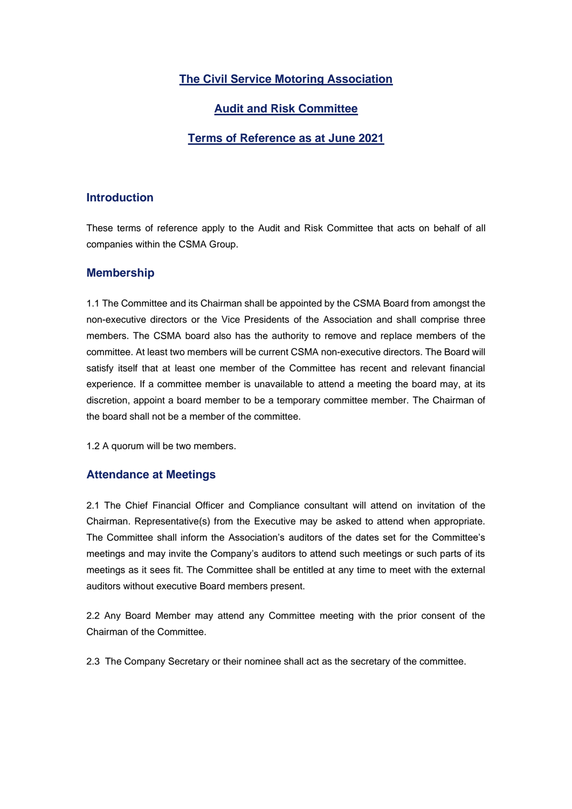# **The Civil Service Motoring Association**

# **Audit and Risk Committee**

## **Terms of Reference as at June 2021**

## **Introduction**

These terms of reference apply to the Audit and Risk Committee that acts on behalf of all companies within the CSMA Group.

## **Membership**

1.1 The Committee and its Chairman shall be appointed by the CSMA Board from amongst the non-executive directors or the Vice Presidents of the Association and shall comprise three members. The CSMA board also has the authority to remove and replace members of the committee. At least two members will be current CSMA non-executive directors. The Board will satisfy itself that at least one member of the Committee has recent and relevant financial experience. If a committee member is unavailable to attend a meeting the board may, at its discretion, appoint a board member to be a temporary committee member. The Chairman of the board shall not be a member of the committee.

1.2 A quorum will be two members.

#### **Attendance at Meetings**

2.1 The Chief Financial Officer and Compliance consultant will attend on invitation of the Chairman. Representative(s) from the Executive may be asked to attend when appropriate. The Committee shall inform the Association's auditors of the dates set for the Committee's meetings and may invite the Company's auditors to attend such meetings or such parts of its meetings as it sees fit. The Committee shall be entitled at any time to meet with the external auditors without executive Board members present.

2.2 Any Board Member may attend any Committee meeting with the prior consent of the Chairman of the Committee.

2.3 The Company Secretary or their nominee shall act as the secretary of the committee.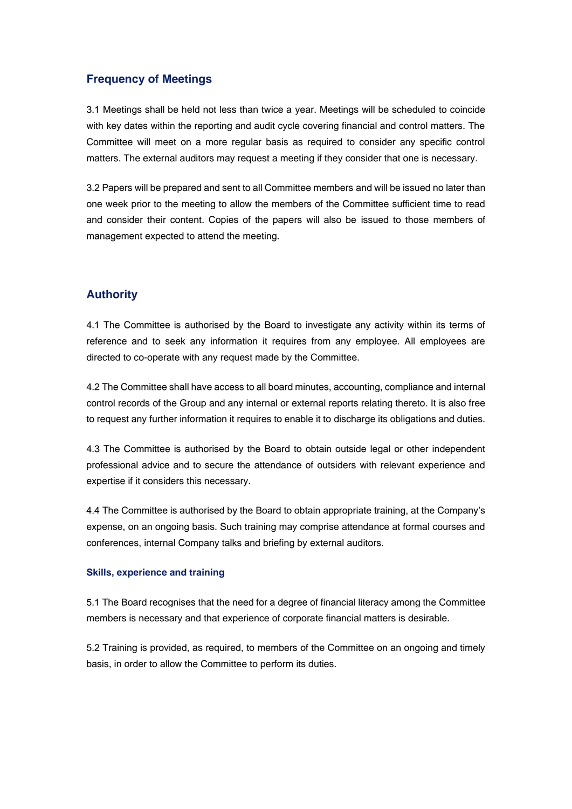## **Frequency of Meetings**

3.1 Meetings shall be held not less than twice a year. Meetings will be scheduled to coincide with key dates within the reporting and audit cycle covering financial and control matters. The Committee will meet on a more regular basis as required to consider any specific control matters. The external auditors may request a meeting if they consider that one is necessary.

3.2 Papers will be prepared and sent to all Committee members and will be issued no later than one week prior to the meeting to allow the members of the Committee sufficient time to read and consider their content. Copies of the papers will also be issued to those members of management expected to attend the meeting.

## **Authority**

4.1 The Committee is authorised by the Board to investigate any activity within its terms of reference and to seek any information it requires from any employee. All employees are directed to co-operate with any request made by the Committee.

4.2 The Committee shall have access to all board minutes, accounting, compliance and internal control records of the Group and any internal or external reports relating thereto. It is also free to request any further information it requires to enable it to discharge its obligations and duties.

4.3 The Committee is authorised by the Board to obtain outside legal or other independent professional advice and to secure the attendance of outsiders with relevant experience and expertise if it considers this necessary.

4.4 The Committee is authorised by the Board to obtain appropriate training, at the Company's expense, on an ongoing basis. Such training may comprise attendance at formal courses and conferences, internal Company talks and briefing by external auditors.

## **Skills, experience and training**

5.1 The Board recognises that the need for a degree of financial literacy among the Committee members is necessary and that experience of corporate financial matters is desirable.

5.2 Training is provided, as required, to members of the Committee on an ongoing and timely basis, in order to allow the Committee to perform its duties.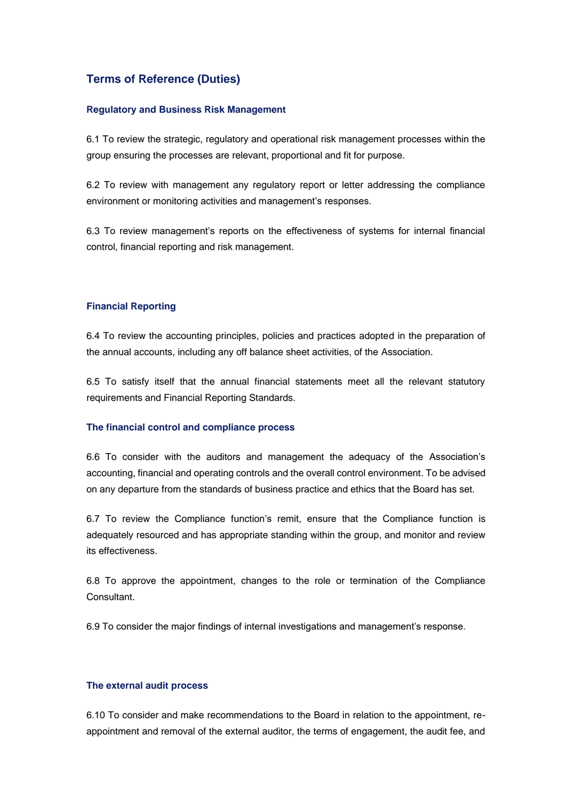# **Terms of Reference (Duties)**

### **Regulatory and Business Risk Management**

6.1 To review the strategic, regulatory and operational risk management processes within the group ensuring the processes are relevant, proportional and fit for purpose.

6.2 To review with management any regulatory report or letter addressing the compliance environment or monitoring activities and management's responses.

6.3 To review management's reports on the effectiveness of systems for internal financial control, financial reporting and risk management.

### **Financial Reporting**

6.4 To review the accounting principles, policies and practices adopted in the preparation of the annual accounts, including any off balance sheet activities, of the Association.

6.5 To satisfy itself that the annual financial statements meet all the relevant statutory requirements and Financial Reporting Standards.

### **The financial control and compliance process**

6.6 To consider with the auditors and management the adequacy of the Association's accounting, financial and operating controls and the overall control environment. To be advised on any departure from the standards of business practice and ethics that the Board has set.

6.7 To review the Compliance function's remit, ensure that the Compliance function is adequately resourced and has appropriate standing within the group, and monitor and review its effectiveness.

6.8 To approve the appointment, changes to the role or termination of the Compliance **Consultant** 

6.9 To consider the major findings of internal investigations and management's response.

## **The external audit process**

6.10 To consider and make recommendations to the Board in relation to the appointment, reappointment and removal of the external auditor, the terms of engagement, the audit fee, and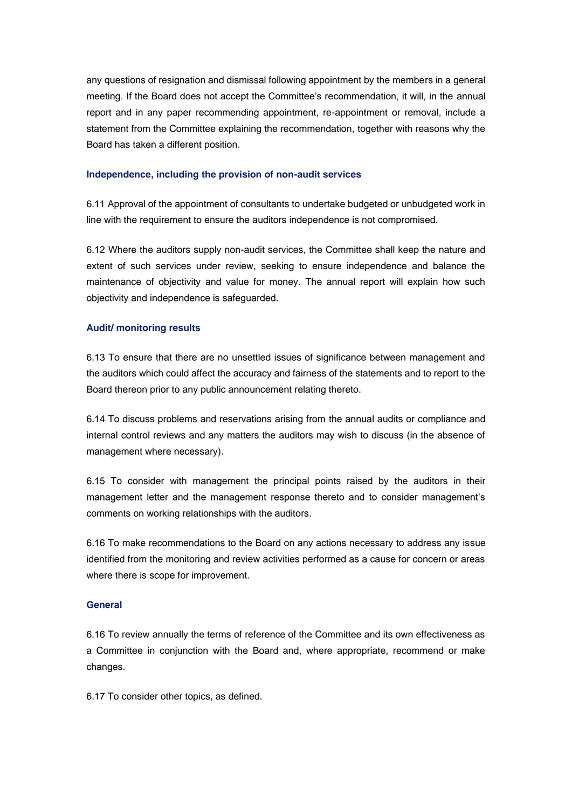any questions of resignation and dismissal following appointment by the members in a general meeting. If the Board does not accept the Committee's recommendation, it will, in the annual report and in any paper recommending appointment, re-appointment or removal, include a statement from the Committee explaining the recommendation, together with reasons why the Board has taken a different position.

#### **Independence, including the provision of non-audit services**

6.11 Approval of the appointment of consultants to undertake budgeted or unbudgeted work in line with the requirement to ensure the auditors independence is not compromised.

6.12 Where the auditors supply non-audit services, the Committee shall keep the nature and extent of such services under review, seeking to ensure independence and balance the maintenance of objectivity and value for money. The annual report will explain how such objectivity and independence is safeguarded.

## **Audit/ monitoring results**

6.13 To ensure that there are no unsettled issues of significance between management and the auditors which could affect the accuracy and fairness of the statements and to report to the Board thereon prior to any public announcement relating thereto.

6.14 To discuss problems and reservations arising from the annual audits or compliance and internal control reviews and any matters the auditors may wish to discuss (in the absence of management where necessary).

6.15 To consider with management the principal points raised by the auditors in their management letter and the management response thereto and to consider management's comments on working relationships with the auditors.

6.16 To make recommendations to the Board on any actions necessary to address any issue identified from the monitoring and review activities performed as a cause for concern or areas where there is scope for improvement.

### **General**

6.16 To review annually the terms of reference of the Committee and its own effectiveness as a Committee in conjunction with the Board and, where appropriate, recommend or make changes.

6.17 To consider other topics, as defined.